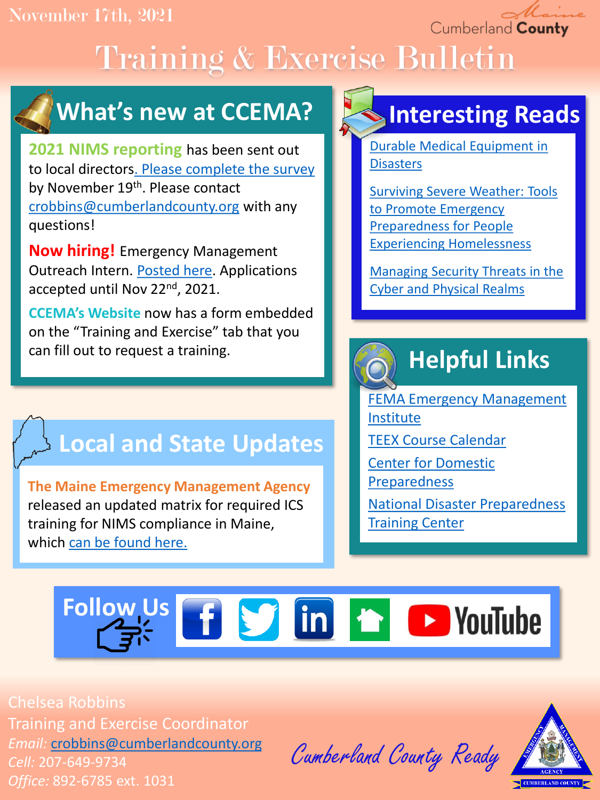November 17th, 2021

Cumberland County

# Training & Exercise Bulletin



**2021 NIMS reporting** has been sent out to local directors[. Please complete the survey](https://docs.google.com/forms/d/e/1FAIpQLSe03qLRsoO81TlkULO_jBGKXiDMP0vXdp_tVt7ul07PG1hTGw/viewform?usp=sf_link) by November 19th. Please contact [crobbins@cumberlandcounty.org](mailto:crobbins@cumberlandcounty.org) with any questions!

**Now hiring!** Emergency Management Outreach Intern. [Posted here.](https://www.cumberlandcounty.org/DocumentCenter/View/7053/EMA-Public-Outreach-Internship--Winter-2022) Applications accepted until Nov 22<sup>nd</sup>, 2021.

**CCEMA's Website** now has a form embedded on the "Training and Exercise" tab that you can fill out to request a training.

### **Local and State Updates**

**The Maine Emergency Management Agency**  released an updated matrix for required ICS training for NIMS compliance in Maine, which [can be found here.](https://drive.google.com/file/d/1AYc7Q1jwWcCcTKZ-xIFjtW3hE5o7mRQG/view?usp=sharing)

## **Interesting Reads**

[Durable Medical Equipment in](https://files.asprtracie.hhs.gov/documents/aspr-tracie-durable-medical-equipment-in-disasters.pdf) **Disasters** 

[Surviving Severe Weather: Tools](https://nhchc.org/clinical-practice/homeless-services/weather/)  to Promote Emergency Preparedness for People Experiencing Homelessness

[Managing Security Threats in the](https://hagertyconsulting.com/about-us/blog/managing-security-threats-in-the-cyber-and-physical-realms/) Cyber and Physical Realms

## **Helpful Links**

[FEMA Emergency Management](https://training.fema.gov/is/) Institute

[TEEX Course Calendar](https://teex.org/course-calendar/)

[Center for Domestic](https://cdp.dhs.gov/)  Preparedness

[National Disaster Preparedness](https://ndptc.hawaii.edu/training/)  **Training Center** 

## **Follow Us f S** in **h D** YouTube

Chelsea Robbins Training and Exercise Coordinator *Email:* [crobbins@cumberlandcounty.org](mailto:crobbins@cumberlandcounty.org) *Cell:* 207-649-9734 *Office:* 892-6785 ext. 1031

Cumberland County Ready